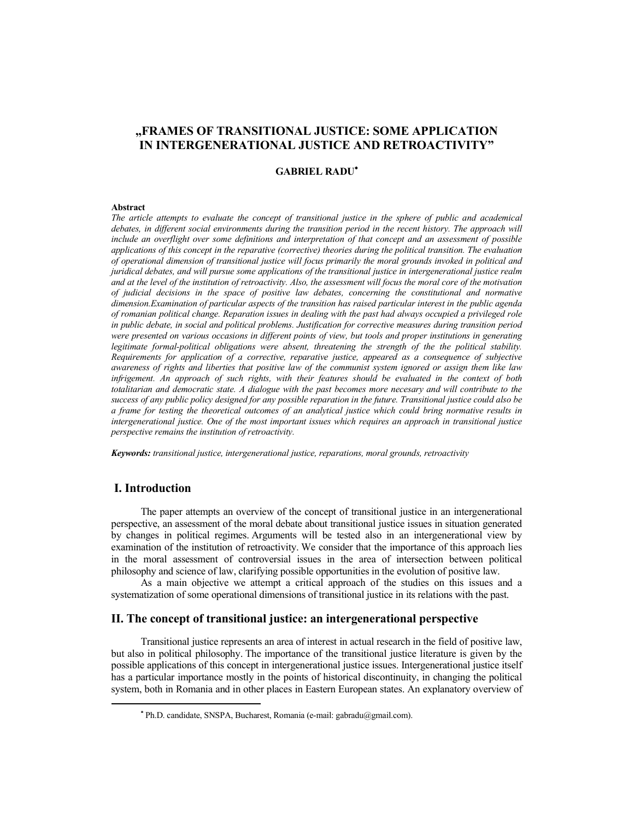# **"FRAMES OF TRANSITIONAL JUSTICE: SOME APPLICATION IN INTERGENERATIONAL JUSTICE AND RETROACTIVITY"**

## **GABRIEL RADU**

#### **Abstract**

*The article attempts to evaluate the concept of transitional justice in the sphere of public and academical debates, in different social environments during the transition period in the recent history. The approach will include an overflight over some definitions and interpretation of that concept and an assessment of possible applications of this concept in the reparative (corrective) theories during the political transition. The evaluation of operational dimension of transitional justice will focus primarily the moral grounds invoked in political and juridical debates, and will pursue some applications of the transitional justice in intergenerational justice realm and at the level of the institution of retroactivity. Also, the assessment will focus the moral core of the motivation of judicial decisions in the space of positive law debates, concerning the constitutional and normative dimension.Examination of particular aspects of the transition has raised particular interest in the public agenda of romanian political change. Reparation issues in dealing with the past had always occupied a privileged role in public debate, in social and political problems. Justification for corrective measures during transition period were presented on various occasions in different points of view, but tools and proper institutions in generating legitimate formal-political obligations were absent, threatening the strength of the the political stability. Requirements for application of a corrective, reparative justice, appeared as a consequence of subjective awareness of rights and liberties that positive law of the communist system ignored or assign them like law infrigement. An approach of such rights, with their features should be evaluated in the context of both totalitarian and democratic state. A dialogue with the past becomes more necesary and will contribute to the success of any public policy designed for any possible reparation in the future. Transitional justice could also be a frame for testing the theoretical outcomes of an analytical justice which could bring normative results in intergenerational justice. One of the most important issues which requires an approach in transitional justice perspective remains the institution of retroactivity.* 

*Keywords: transitional justice, intergenerational justice, reparations, moral grounds, retroactivity* 

## **I. Introduction**

The paper attempts an overview of the concept of transitional justice in an intergenerational perspective, an assessment of the moral debate about transitional justice issues in situation generated by changes in political regimes. Arguments will be tested also in an intergenerational view by examination of the institution of retroactivity. We consider that the importance of this approach lies in the moral assessment of controversial issues in the area of intersection between political philosophy and science of law, clarifying possible opportunities in the evolution of positive law.

As a main objective we attempt a critical approach of the studies on this issues and a systematization of some operational dimensions of transitional justice in its relations with the past.

## **II. The concept of transitional justice: an intergenerational perspective**

Transitional justice represents an area of interest in actual research in the field of positive law, but also in political philosophy. The importance of the transitional justice literature is given by the possible applications of this concept in intergenerational justice issues. Intergenerational justice itself has a particular importance mostly in the points of historical discontinuity, in changing the political system, both in Romania and in other places in Eastern European states. An explanatory overview of

Ph.D. candidate, SNSPA, Bucharest, Romania (e-mail: gabradu@gmail.com).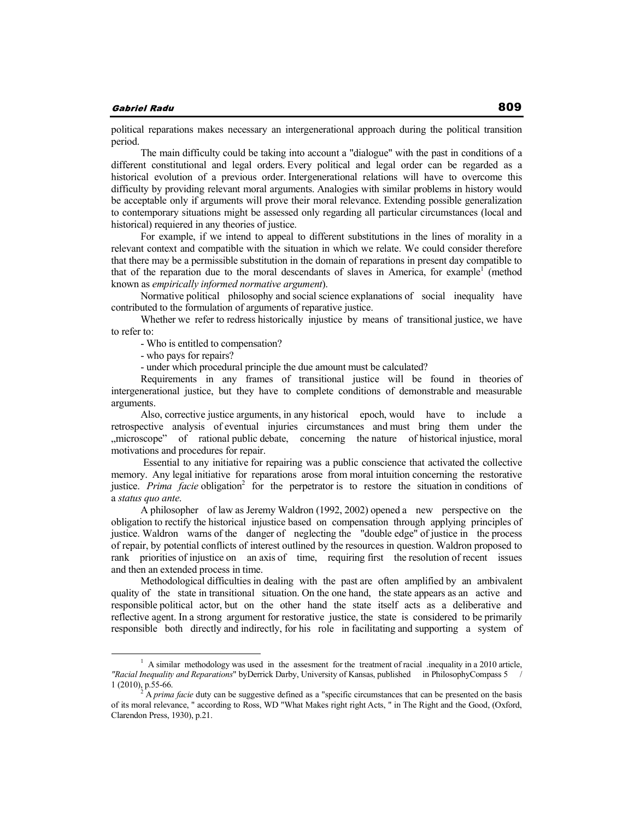political reparations makes necessary an intergenerational approach during the political transition period.

The main difficulty could be taking into account a "dialogue" with the past in conditions of a different constitutional and legal orders. Every political and legal order can be regarded as a historical evolution of a previous order. Intergenerational relations will have to overcome this difficulty by providing relevant moral arguments. Analogies with similar problems in history would be acceptable only if arguments will prove their moral relevance. Extending possible generalization to contemporary situations might be assessed only regarding all particular circumstances (local and historical) requiered in any theories of justice.

For example, if we intend to appeal to different substitutions in the lines of morality in a relevant context and compatible with the situation in which we relate. We could consider therefore that there may be a permissible substitution in the domain of reparations in present day compatible to that of the reparation due to the moral descendants of slaves in America, for example<sup>1</sup> (method known as *empirically informed normative argument*).

Normative political philosophy and social science explanations of social inequality have contributed to the formulation of arguments of reparative justice.

Whether we refer to redress historically injustice by means of transitional justice, we have to refer to:

- Who is entitled to compensation?

- who pays for repairs?

- under which procedural principle the due amount must be calculated?

Requirements in any frames of transitional justice will be found in theories of intergenerational justice, but they have to complete conditions of demonstrable and measurable arguments.

Also, corrective justice arguments, in any historical epoch, would have to include a retrospective analysis of eventual injuries circumstances and must bring them under the "microscope" of rational public debate, concerning the nature of historical injustice, moral motivations and procedures for repair.

 Essential to any initiative for repairing was a public conscience that activated the collective memory. Any legal initiative for reparations arose from moral intuition concerning the restorative justice. Prima facie obligation<sup>2</sup> for the perpetrator is to restore the situation in conditions of a *status quo ante*.

A philosopher of law as Jeremy Waldron (1992, 2002) opened a new perspective on the obligation to rectify the historical injustice based on compensation through applying principles of justice. Waldron warns of the danger of neglecting the "double edge" of justice in the process of repair, by potential conflicts of interest outlined by the resources in question. Waldron proposed to rank priorities of injustice on an axis of time, requiring first the resolution of recent issues and then an extended process in time.

Methodological difficulties in dealing with the past are often amplified by an ambivalent quality of the state in transitional situation. On the one hand, the state appears as an active and responsible political actor, but on the other hand the state itself acts as a deliberative and reflective agent. In a strong argument for restorative justice, the state is considered to be primarily responsible both directly and indirectly, for his role in facilitating and supporting a system of

<sup>&</sup>lt;sup>1</sup> A similar methodology was used in the assesment for the treatment of racial .inequality in a 2010 article, *"Racial Inequality and Reparations*" byDerrick Darby, University of Kansas, published in PhilosophyCompass 5 / 1 (2010), p.55-66.

<sup>2</sup> A *prima facie* duty can be suggestive defined as a "specific circumstances that can be presented on the basis of its moral relevance, " according to Ross, WD "What Makes right right Acts, " in The Right and the Good, (Oxford, Clarendon Press, 1930), p.21.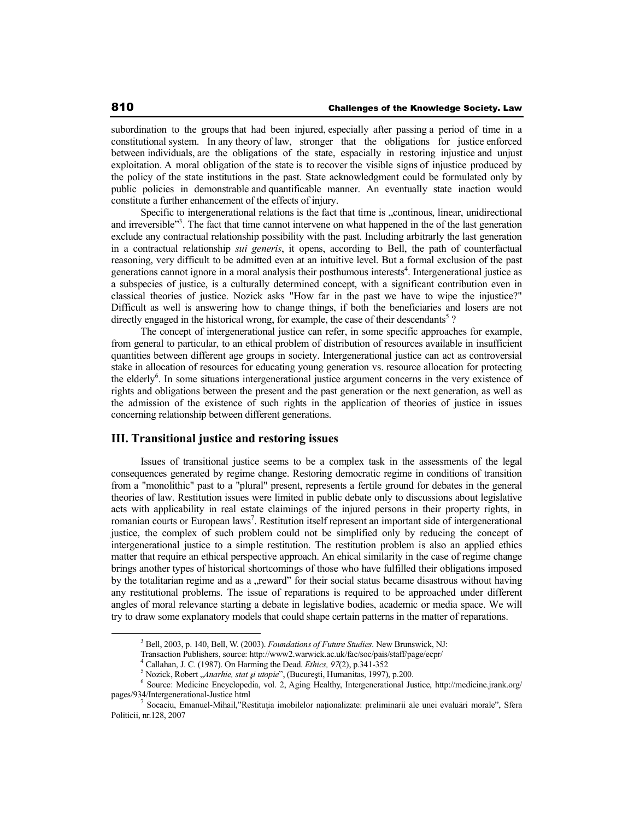subordination to the groups that had been injured, especially after passing a period of time in a constitutional system. In any theory of law, stronger that the obligations for justice enforced between individuals, are the obligations of the state, espacially in restoring injustice and unjust exploitation. A moral obligation of the state is to recover the visible signs of injustice produced by the policy of the state institutions in the past. State acknowledgment could be formulated only by public policies in demonstrable and quantificable manner. An eventually state inaction would constitute a further enhancement of the effects of injury.

Specific to intergenerational relations is the fact that time is ... continous, linear, unidirectional and irreversible"<sup>3</sup>. The fact that time cannot intervene on what happened in the of the last generation exclude any contractual relationship possibility with the past. Including arbitrarly the last generation in a contractual relationship *sui generis*, it opens, according to Bell, the path of counterfactual reasoning, very difficult to be admitted even at an intuitive level. But a formal exclusion of the past generations cannot ignore in a moral analysis their posthumous interests<sup>4</sup>. Intergenerational justice as a subspecies of justice, is a culturally determined concept, with a significant contribution even in classical theories of justice. Nozick asks "How far in the past we have to wipe the injustice?" Difficult as well is answering how to change things, if both the beneficiaries and losers are not directly engaged in the historical wrong, for example, the case of their descendants<sup>5</sup>?

The concept of intergenerational justice can refer, in some specific approaches for example, from general to particular, to an ethical problem of distribution of resources available in insufficient quantities between different age groups in society. Intergenerational justice can act as controversial stake in allocation of resources for educating young generation vs. resource allocation for protecting the elderly<sup>6</sup>. In some situations intergenerational justice argument concerns in the very existence of rights and obligations between the present and the past generation or the next generation, as well as the admission of the existence of such rights in the application of theories of justice in issues concerning relationship between different generations.

## **III. Transitional justice and restoring issues**

Issues of transitional justice seems to be a complex task in the assessments of the legal consequences generated by regime change. Restoring democratic regime in conditions of transition from a "monolithic" past to a "plural" present, represents a fertile ground for debates in the general theories of law. Restitution issues were limited in public debate only to discussions about legislative acts with applicability in real estate claimings of the injured persons in their property rights, in romanian courts or European laws<sup>7</sup>. Restitution itself represent an important side of intergenerational justice, the complex of such problem could not be simplified only by reducing the concept of intergenerational justice to a simple restitution. The restitution problem is also an applied ethics matter that require an ethical perspective approach. An ehical similarity in the case of regime change brings another types of historical shortcomings of those who have fulfilled their obligations imposed by the totalitarian regime and as a "reward" for their social status became disastrous without having any restitutional problems. The issue of reparations is required to be approached under different angles of moral relevance starting a debate in legislative bodies, academic or media space. We will try to draw some explanatory models that could shape certain patterns in the matter of reparations.

<sup>3</sup> Bell, 2003, p. 140, Bell, W. (2003). *Foundations of Future Studies*. New Brunswick, NJ:

Transaction Publishers, source: http://www2.warwick.ac.uk/fac/soc/pais/staff/page/ecpr/

<sup>4</sup> Callahan, J. C. (1987). On Harming the Dead. *Ethics, 97*(2), p.341-352

<sup>&</sup>lt;sup>5</sup> Nozick, Robert "*Anarhie, stat și utopie*", (București, Humanitas, 1997), p.200.

<sup>6</sup> Source: Medicine Encyclopedia, vol. 2, Aging Healthy, Intergenerational Justice, http://medicine.jrank.org/ pages/934/Intergenerational-Justice html<br>
<sup>7</sup> Seensius Emerual Mibell "Bay

Socaciu, Emanuel-Mihail,"Restitutia imobilelor nationalizate: preliminarii ale unei evaluări morale", Sfera Politicii, nr.128, 2007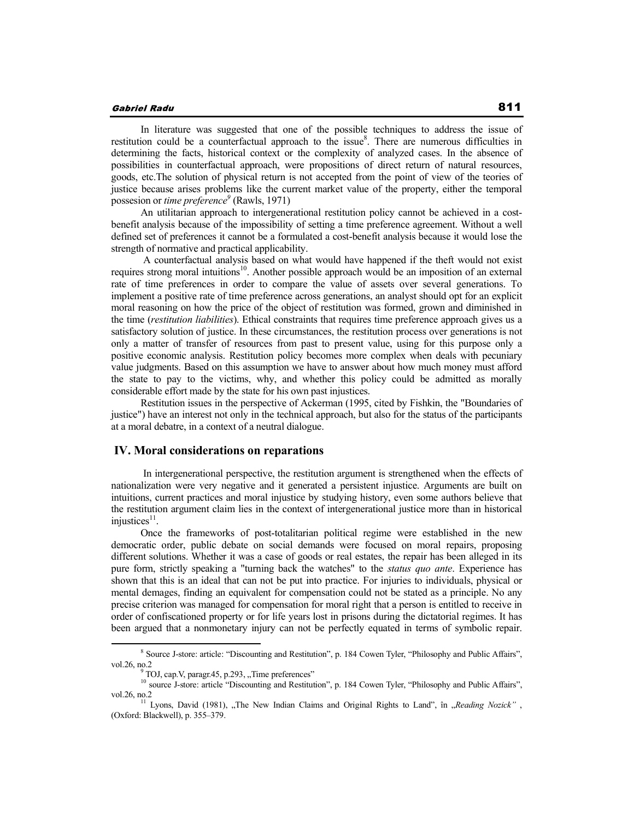In literature was suggested that one of the possible techniques to address the issue of restitution could be a counterfactual approach to the issue<sup>8</sup>. There are numerous difficulties in determining the facts, historical context or the complexity of analyzed cases. In the absence of possibilities in counterfactual approach, were propositions of direct return of natural resources, goods, etc.The solution of physical return is not accepted from the point of view of the teories of justice because arises problems like the current market value of the property, either the temporal possesion or *time preference<sup>9</sup>* (Rawls, 1971)

An utilitarian approach to intergenerational restitution policy cannot be achieved in a costbenefit analysis because of the impossibility of setting a time preference agreement. Without a well defined set of preferences it cannot be a formulated a cost-benefit analysis because it would lose the strength of normative and practical applicability.

 A counterfactual analysis based on what would have happened if the theft would not exist requires strong moral intuitions<sup>10</sup>. Another possible approach would be an imposition of an external rate of time preferences in order to compare the value of assets over several generations. To implement a positive rate of time preference across generations, an analyst should opt for an explicit moral reasoning on how the price of the object of restitution was formed, grown and diminished in the time (*restitution liabilities*). Ethical constraints that requires time preference approach gives us a satisfactory solution of justice. In these circumstances, the restitution process over generations is not only a matter of transfer of resources from past to present value, using for this purpose only a positive economic analysis. Restitution policy becomes more complex when deals with pecuniary value judgments. Based on this assumption we have to answer about how much money must afford the state to pay to the victims, why, and whether this policy could be admitted as morally considerable effort made by the state for his own past injustices.

Restitution issues in the perspective of Ackerman (1995, cited by Fishkin, the "Boundaries of justice") have an interest not only in the technical approach, but also for the status of the participants at a moral debatre, in a context of a neutral dialogue.

#### **IV. Moral considerations on reparations**

 In intergenerational perspective, the restitution argument is strengthened when the effects of nationalization were very negative and it generated a persistent injustice. Arguments are built on intuitions, current practices and moral injustice by studying history, even some authors believe that the restitution argument claim lies in the context of intergenerational justice more than in historical injustices $11$ .

Once the frameworks of post-totalitarian political regime were established in the new democratic order, public debate on social demands were focused on moral repairs, proposing different solutions. Whether it was a case of goods or real estates, the repair has been alleged in its pure form, strictly speaking a "turning back the watches" to the *status quo ante*. Experience has shown that this is an ideal that can not be put into practice. For injuries to individuals, physical or mental demages, finding an equivalent for compensation could not be stated as a principle. No any precise criterion was managed for compensation for moral right that a person is entitled to receive in order of confiscationed property or for life years lost in prisons during the dictatorial regimes. It has been argued that a nonmonetary injury can not be perfectly equated in terms of symbolic repair.

<sup>&</sup>lt;sup>8</sup> Source J-store: article: "Discounting and Restitution", p. 184 Cowen Tyler, "Philosophy and Public Affairs", vol.26, no.2<br> $\frac{9}{2}$ 

TOJ, cap.V, paragr.45, p.293, "Time preferences"

<sup>&</sup>lt;sup>10</sup> source J-store: article "Discounting and Restitution", p. 184 Cowen Tyler, "Philosophy and Public Affairs", vol.26, no.2<br><sup>11</sup> Lyons, David (1981), "The New Indian Claims and Original Rights to Land", în "*Reading Nozick"*,

<sup>(</sup>Oxford: Blackwell), p. 355–379.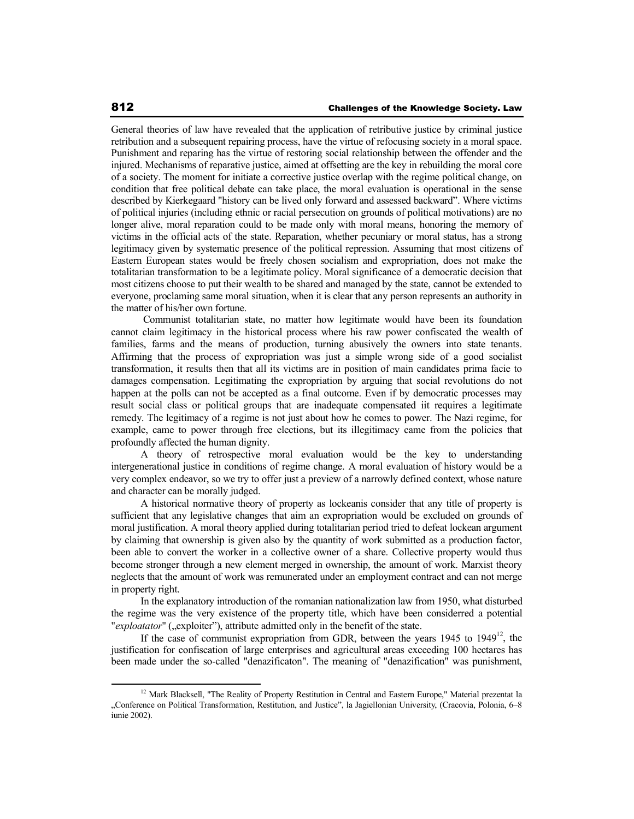General theories of law have revealed that the application of retributive justice by criminal justice retribution and a subsequent repairing process, have the virtue of refocusing society in a moral space. Punishment and reparing has the virtue of restoring social relationship between the offender and the injured. Mechanisms of reparative justice, aimed at offsetting are the key in rebuilding the moral core of a society. The moment for initiate a corrective justice overlap with the regime political change, on condition that free political debate can take place, the moral evaluation is operational in the sense described by Kierkegaard "history can be lived only forward and assessed backward". Where victims of political injuries (including ethnic or racial persecution on grounds of political motivations) are no longer alive, moral reparation could to be made only with moral means, honoring the memory of victims in the official acts of the state. Reparation, whether pecuniary or moral status, has a strong legitimacy given by systematic presence of the political repression. Assuming that most citizens of Eastern European states would be freely chosen socialism and expropriation, does not make the totalitarian transformation to be a legitimate policy. Moral significance of a democratic decision that most citizens choose to put their wealth to be shared and managed by the state, cannot be extended to everyone, proclaming same moral situation, when it is clear that any person represents an authority in the matter of his/her own fortune.

 Communist totalitarian state, no matter how legitimate would have been its foundation cannot claim legitimacy in the historical process where his raw power confiscated the wealth of families, farms and the means of production, turning abusively the owners into state tenants. Affirming that the process of expropriation was just a simple wrong side of a good socialist transformation, it results then that all its victims are in position of main candidates prima facie to damages compensation. Legitimating the expropriation by arguing that social revolutions do not happen at the polls can not be accepted as a final outcome. Even if by democratic processes may result social class or political groups that are inadequate compensated iit requires a legitimate remedy. The legitimacy of a regime is not just about how he comes to power. The Nazi regime, for example, came to power through free elections, but its illegitimacy came from the policies that profoundly affected the human dignity.

A theory of retrospective moral evaluation would be the key to understanding intergenerational justice in conditions of regime change. A moral evaluation of history would be a very complex endeavor, so we try to offer just a preview of a narrowly defined context, whose nature and character can be morally judged.

A historical normative theory of property as lockeanis consider that any title of property is sufficient that any legislative changes that aim an expropriation would be excluded on grounds of moral justification. A moral theory applied during totalitarian period tried to defeat lockean argument by claiming that ownership is given also by the quantity of work submitted as a production factor, been able to convert the worker in a collective owner of a share. Collective property would thus become stronger through a new element merged in ownership, the amount of work. Marxist theory neglects that the amount of work was remunerated under an employment contract and can not merge in property right.

In the explanatory introduction of the romanian nationalization law from 1950, what disturbed the regime was the very existence of the property title, which have been considerred a potential "*exploatator*" ("exploiter"), attribute admitted only in the benefit of the state.

If the case of communist expropriation from GDR, between the years  $1945$  to  $1949^{12}$ , the justification for confiscation of large enterprises and agricultural areas exceeding 100 hectares has been made under the so-called "denazificaton". The meaning of "denazification" was punishment,

<sup>&</sup>lt;sup>12</sup> Mark Blacksell, "The Reality of Property Restitution in Central and Eastern Europe," Material prezentat la "Conference on Political Transformation, Restitution, and Justice", la Jagiellonian University, (Cracovia, Polonia, 6–8 iunie 2002).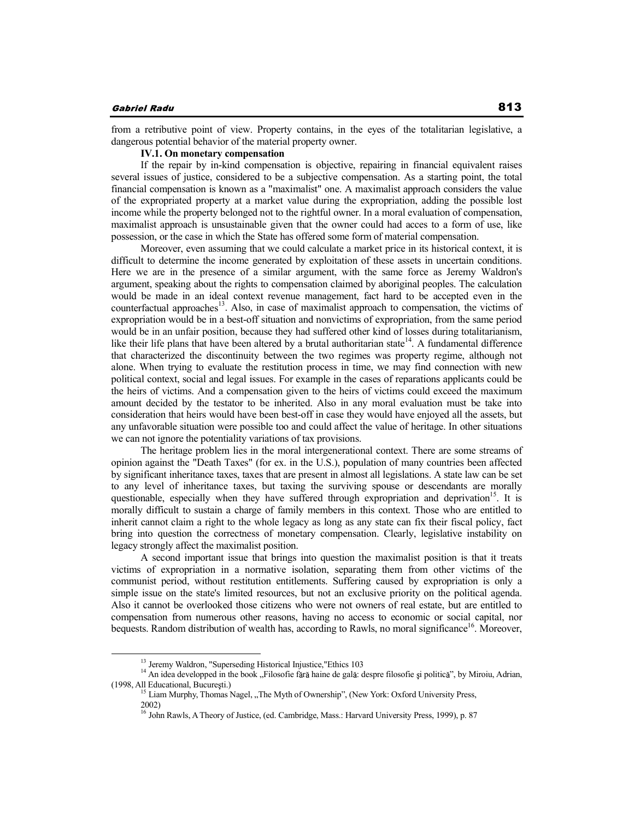from a retributive point of view. Property contains, in the eyes of the totalitarian legislative, a dangerous potential behavior of the material property owner.

## **IV.1. On monetary compensation**

If the repair by in-kind compensation is objective, repairing in financial equivalent raises several issues of justice, considered to be a subjective compensation. As a starting point, the total financial compensation is known as a "maximalist" one. A maximalist approach considers the value of the expropriated property at a market value during the expropriation, adding the possible lost income while the property belonged not to the rightful owner. In a moral evaluation of compensation, maximalist approach is unsustainable given that the owner could had acces to a form of use, like possession, or the case in which the State has offered some form of material compensation.

Moreover, even assuming that we could calculate a market price in its historical context, it is difficult to determine the income generated by exploitation of these assets in uncertain conditions. Here we are in the presence of a similar argument, with the same force as Jeremy Waldron's argument, speaking about the rights to compensation claimed by aboriginal peoples. The calculation would be made in an ideal context revenue management, fact hard to be accepted even in the counterfactual approaches<sup>13</sup>. Also, in case of maximalist approach to compensation, the victims of expropriation would be in a best-off situation and nonvictims of expropriation, from the same period would be in an unfair position, because they had suffered other kind of losses during totalitarianism, like their life plans that have been altered by a brutal authoritarian state<sup>14</sup>. A fundamental difference that characterized the discontinuity between the two regimes was property regime, although not alone. When trying to evaluate the restitution process in time, we may find connection with new political context, social and legal issues. For example in the cases of reparations applicants could be the heirs of victims. And a compensation given to the heirs of victims could exceed the maximum amount decided by the testator to be inherited. Also in any moral evaluation must be take into consideration that heirs would have been best-off in case they would have enjoyed all the assets, but any unfavorable situation were possible too and could affect the value of heritage. In other situations we can not ignore the potentiality variations of tax provisions.

The heritage problem lies in the moral intergenerational context. There are some streams of opinion against the "Death Taxes" (for ex. in the U.S.), population of many countries been affected by significant inheritance taxes, taxes that are present in almost all legislations. A state law can be set to any level of inheritance taxes, but taxing the surviving spouse or descendants are morally questionable, especially when they have suffered through expropriation and deprivation<sup>15</sup>. It is morally difficult to sustain a charge of family members in this context. Those who are entitled to inherit cannot claim a right to the whole legacy as long as any state can fix their fiscal policy, fact bring into question the correctness of monetary compensation. Clearly, legislative instability on legacy strongly affect the maximalist position.

A second important issue that brings into question the maximalist position is that it treats victims of expropriation in a normative isolation, separating them from other victims of the communist period, without restitution entitlements. Suffering caused by expropriation is only a simple issue on the state's limited resources, but not an exclusive priority on the political agenda. Also it cannot be overlooked those citizens who were not owners of real estate, but are entitled to compensation from numerous other reasons, having no access to economic or social capital, nor bequests. Random distribution of wealth has, according to Rawls, no moral significance<sup>16</sup>. Moreover,

<sup>&</sup>lt;sup>13</sup> Jeremy Waldron, "Superseding Historical Injustice,"Ethics 103

<sup>&</sup>lt;sup>14</sup> An idea developped in the book "Filosofie fără haine de gală: despre filosofie și politică", by Miroiu, Adrian, (1998, All Educational, București.)

<sup>&</sup>lt;sup>15</sup> Liam Murphy, Thomas Nagel, "The Myth of Ownership", (New York: Oxford University Press, 2002)

<sup>&</sup>lt;sup>16</sup> John Rawls, A Theory of Justice, (ed. Cambridge, Mass.: Harvard University Press, 1999), p. 87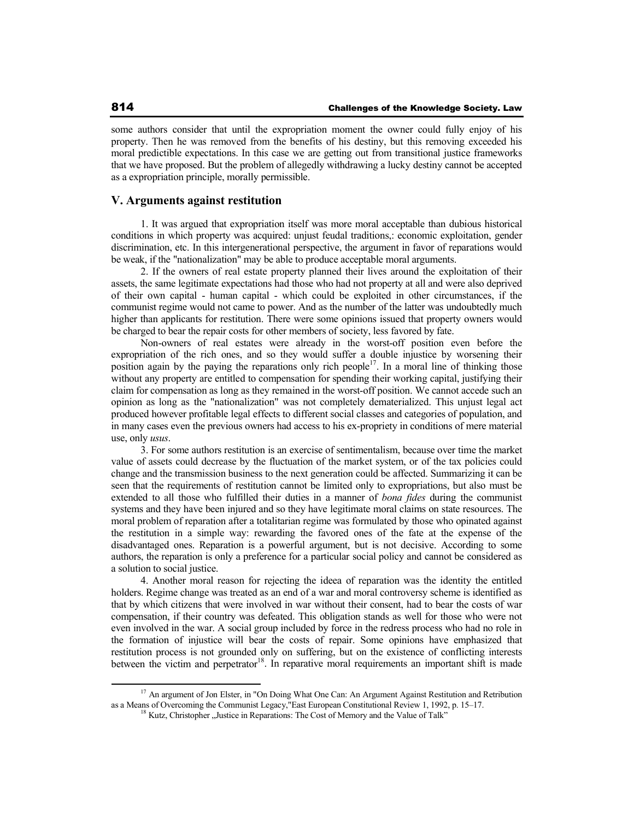some authors consider that until the expropriation moment the owner could fully enjoy of his property. Then he was removed from the benefits of his destiny, but this removing exceeded his moral predictible expectations. In this case we are getting out from transitional justice frameworks that we have proposed. But the problem of allegedly withdrawing a lucky destiny cannot be accepted as a expropriation principle, morally permissible.

## **V. Arguments against restitution**

1. It was argued that expropriation itself was more moral acceptable than dubious historical conditions in which property was acquired: unjust feudal traditions,: economic exploitation, gender discrimination, etc. In this intergenerational perspective, the argument in favor of reparations would be weak, if the "nationalization" may be able to produce acceptable moral arguments.

2. If the owners of real estate property planned their lives around the exploitation of their assets, the same legitimate expectations had those who had not property at all and were also deprived of their own capital - human capital - which could be exploited in other circumstances, if the communist regime would not came to power. And as the number of the latter was undoubtedly much higher than applicants for restitution. There were some opinions issued that property owners would be charged to bear the repair costs for other members of society, less favored by fate.

Non-owners of real estates were already in the worst-off position even before the expropriation of the rich ones, and so they would suffer a double injustice by worsening their position again by the paying the reparations only rich people<sup>17</sup>. In a moral line of thinking those without any property are entitled to compensation for spending their working capital, justifying their claim for compensation as long as they remained in the worst-off position. We cannot accede such an opinion as long as the "nationalization" was not completely dematerialized. This unjust legal act produced however profitable legal effects to different social classes and categories of population, and in many cases even the previous owners had access to his ex-propriety in conditions of mere material use, only *usus*.

3. For some authors restitution is an exercise of sentimentalism, because over time the market value of assets could decrease by the fluctuation of the market system, or of the tax policies could change and the transmission business to the next generation could be affected. Summarizing it can be seen that the requirements of restitution cannot be limited only to expropriations, but also must be extended to all those who fulfilled their duties in a manner of *bona fides* during the communist systems and they have been injured and so they have legitimate moral claims on state resources. The moral problem of reparation after a totalitarian regime was formulated by those who opinated against the restitution in a simple way: rewarding the favored ones of the fate at the expense of the disadvantaged ones. Reparation is a powerful argument, but is not decisive. According to some authors, the reparation is only a preference for a particular social policy and cannot be considered as a solution to social justice.

4. Another moral reason for rejecting the ideea of reparation was the identity the entitled holders. Regime change was treated as an end of a war and moral controversy scheme is identified as that by which citizens that were involved in war without their consent, had to bear the costs of war compensation, if their country was defeated. This obligation stands as well for those who were not even involved in the war. A social group included by force in the redress process who had no role in the formation of injustice will bear the costs of repair. Some opinions have emphasized that restitution process is not grounded only on suffering, but on the existence of conflicting interests between the victim and perpetrator<sup>18</sup>. In reparative moral requirements an important shift is made

<sup>&</sup>lt;sup>17</sup> An argument of Jon Elster, in "On Doing What One Can: An Argument Against Restitution and Retribution as a Means of Overcoming the Communist Legacy,"East European Constitutional Review 1, 1992, p. 15–17.

<sup>&</sup>lt;sup>18</sup> Kutz, Christopher "Justice in Reparations: The Cost of Memory and the Value of Talk"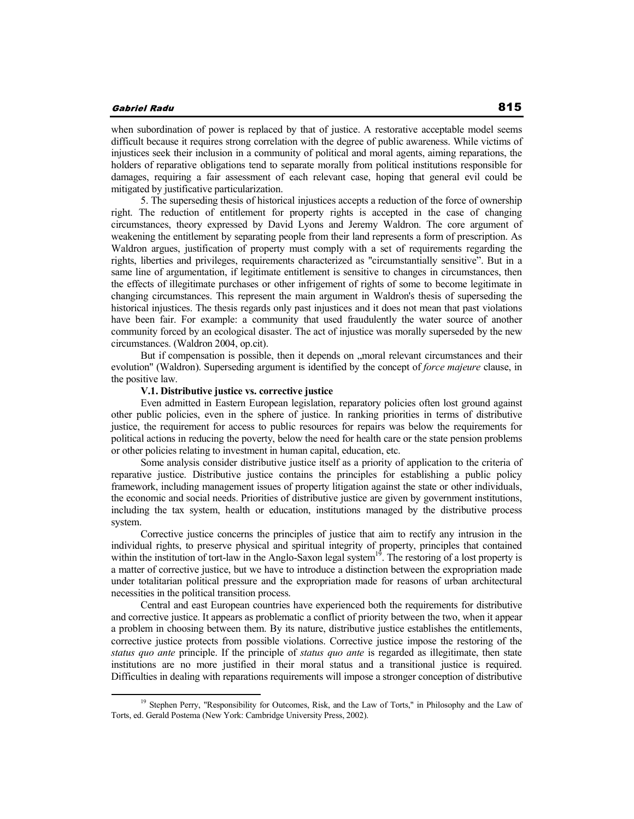when subordination of power is replaced by that of justice. A restorative acceptable model seems difficult because it requires strong correlation with the degree of public awareness. While victims of injustices seek their inclusion in a community of political and moral agents, aiming reparations, the holders of reparative obligations tend to separate morally from political institutions responsible for damages, requiring a fair assessment of each relevant case, hoping that general evil could be mitigated by justificative particularization.

5. The superseding thesis of historical injustices accepts a reduction of the force of ownership right. The reduction of entitlement for property rights is accepted in the case of changing circumstances, theory expressed by David Lyons and Jeremy Waldron. The core argument of weakening the entitlement by separating people from their land represents a form of prescription. As Waldron argues, justification of property must comply with a set of requirements regarding the rights, liberties and privileges, requirements characterized as "circumstantially sensitive". But in a same line of argumentation, if legitimate entitlement is sensitive to changes in circumstances, then the effects of illegitimate purchases or other infrigement of rights of some to become legitimate in changing circumstances. This represent the main argument in Waldron's thesis of superseding the historical injustices. The thesis regards only past injustices and it does not mean that past violations have been fair. For example: a community that used fraudulently the water source of another community forced by an ecological disaster. The act of injustice was morally superseded by the new circumstances. (Waldron 2004, op.cit).

But if compensation is possible, then it depends on "moral relevant circumstances and their evolution" (Waldron). Superseding argument is identified by the concept of *force majeure* clause, in the positive law.

## **V.1. Distributive justice vs. corrective justice**

Even admitted in Eastern European legislation, reparatory policies often lost ground against other public policies, even in the sphere of justice. In ranking priorities in terms of distributive justice, the requirement for access to public resources for repairs was below the requirements for political actions in reducing the poverty, below the need for health care or the state pension problems or other policies relating to investment in human capital, education, etc.

Some analysis consider distributive justice itself as a priority of application to the criteria of reparative justice. Distributive justice contains the principles for establishing a public policy framework, including management issues of property litigation against the state or other individuals, the economic and social needs. Priorities of distributive justice are given by government institutions, including the tax system, health or education, institutions managed by the distributive process system.

Corrective justice concerns the principles of justice that aim to rectify any intrusion in the individual rights, to preserve physical and spiritual integrity of property, principles that contained within the institution of tort-law in the Anglo-Saxon legal system<sup>19</sup>. The restoring of a lost property is a matter of corrective justice, but we have to introduce a distinction between the expropriation made under totalitarian political pressure and the expropriation made for reasons of urban architectural necessities in the political transition process.

Central and east European countries have experienced both the requirements for distributive and corrective justice. It appears as problematic a conflict of priority between the two, when it appear a problem in choosing between them. By its nature, distributive justice establishes the entitlements, corrective justice protects from possible violations. Corrective justice impose the restoring of the *status quo ante* principle. If the principle of *status quo ante* is regarded as illegitimate, then state institutions are no more justified in their moral status and a transitional justice is required. Difficulties in dealing with reparations requirements will impose a stronger conception of distributive

<sup>&</sup>lt;sup>19</sup> Stephen Perry, "Responsibility for Outcomes, Risk, and the Law of Torts," in Philosophy and the Law of Torts, ed. Gerald Postema (New York: Cambridge University Press, 2002).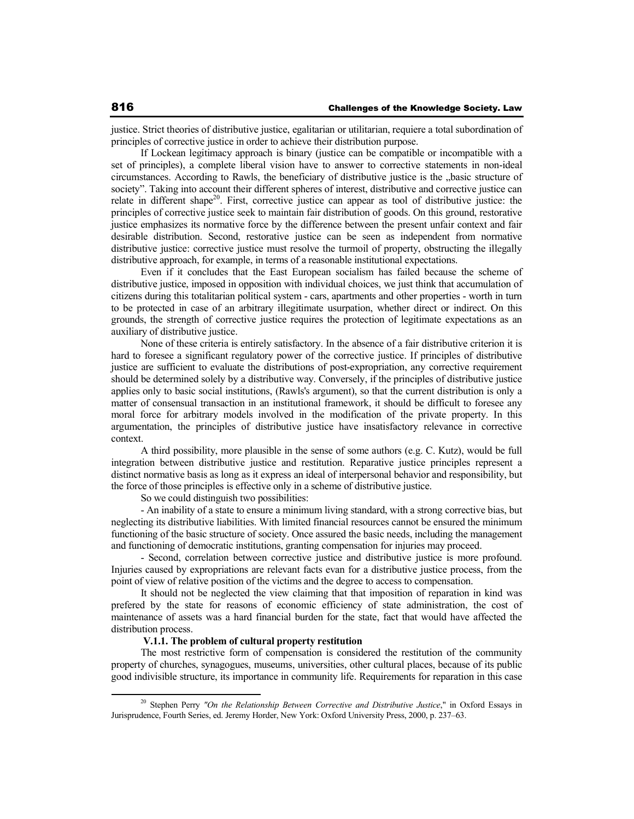justice. Strict theories of distributive justice, egalitarian or utilitarian, requiere a total subordination of principles of corrective justice in order to achieve their distribution purpose.

If Lockean legitimacy approach is binary (justice can be compatible or incompatible with a set of principles), a complete liberal vision have to answer to corrective statements in non-ideal circumstances. According to Rawls, the beneficiary of distributive justice is the "basic structure of society". Taking into account their different spheres of interest, distributive and corrective justice can relate in different shape<sup>20</sup>. First, corrective justice can appear as tool of distributive justice: the principles of corrective justice seek to maintain fair distribution of goods. On this ground, restorative justice emphasizes its normative force by the difference between the present unfair context and fair desirable distribution. Second, restorative justice can be seen as independent from normative distributive justice: corrective justice must resolve the turmoil of property, obstructing the illegally distributive approach, for example, in terms of a reasonable institutional expectations.

Even if it concludes that the East European socialism has failed because the scheme of distributive justice, imposed in opposition with individual choices, we just think that accumulation of citizens during this totalitarian political system - cars, apartments and other properties - worth in turn to be protected in case of an arbitrary illegitimate usurpation, whether direct or indirect. On this grounds, the strength of corrective justice requires the protection of legitimate expectations as an auxiliary of distributive justice.

None of these criteria is entirely satisfactory. In the absence of a fair distributive criterion it is hard to foresee a significant regulatory power of the corrective justice. If principles of distributive justice are sufficient to evaluate the distributions of post-expropriation, any corrective requirement should be determined solely by a distributive way. Conversely, if the principles of distributive justice applies only to basic social institutions, (Rawls's argument), so that the current distribution is only a matter of consensual transaction in an institutional framework, it should be difficult to foresee any moral force for arbitrary models involved in the modification of the private property. In this argumentation, the principles of distributive justice have insatisfactory relevance in corrective context.

A third possibility, more plausible in the sense of some authors (e.g. C. Kutz), would be full integration between distributive justice and restitution. Reparative justice principles represent a distinct normative basis as long as it express an ideal of interpersonal behavior and responsibility, but the force of those principles is effective only in a scheme of distributive justice.

So we could distinguish two possibilities:

- An inability of a state to ensure a minimum living standard, with a strong corrective bias, but neglecting its distributive liabilities. With limited financial resources cannot be ensured the minimum functioning of the basic structure of society. Once assured the basic needs, including the management and functioning of democratic institutions, granting compensation for injuries may proceed.

- Second, correlation between corrective justice and distributive justice is more profound. Injuries caused by expropriations are relevant facts evan for a distributive justice process, from the point of view of relative position of the victims and the degree to access to compensation.

It should not be neglected the view claiming that that imposition of reparation in kind was prefered by the state for reasons of economic efficiency of state administration, the cost of maintenance of assets was a hard financial burden for the state, fact that would have affected the distribution process.

#### **V.1.1. The problem of cultural property restitution**

The most restrictive form of compensation is considered the restitution of the community property of churches, synagogues, museums, universities, other cultural places, because of its public good indivisible structure, its importance in community life. Requirements for reparation in this case

<sup>20</sup> Stephen Perry *"On the Relationship Between Corrective and Distributive Justice*," in Oxford Essays in Jurisprudence, Fourth Series, ed. Jeremy Horder, New York: Oxford University Press, 2000, p. 237–63.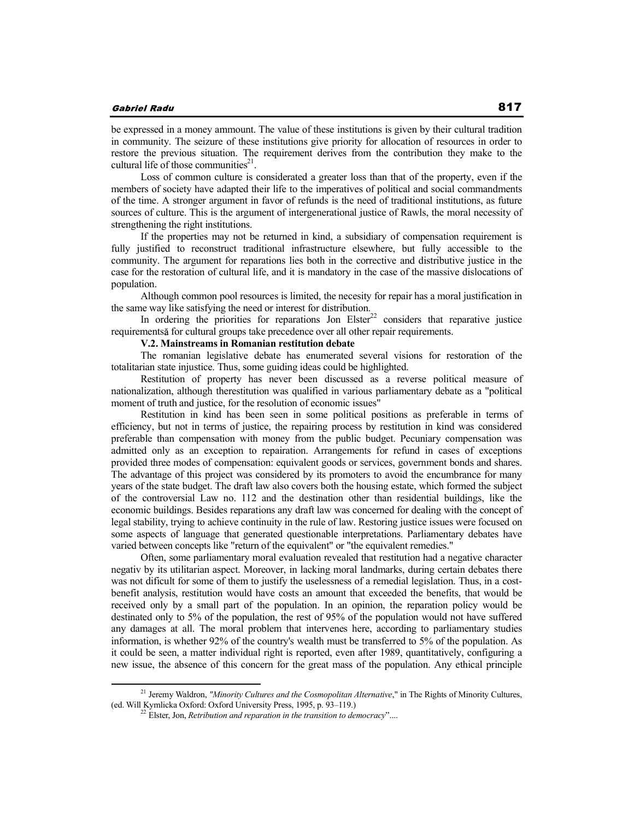be expressed in a money ammount. The value of these institutions is given by their cultural tradition in community. The seizure of these institutions give priority for allocation of resources in order to restore the previous situation. The requirement derives from the contribution they make to the cultural life of those communities $2<sup>1</sup>$ .

Loss of common culture is considerated a greater loss than that of the property, even if the members of society have adapted their life to the imperatives of political and social commandments of the time. A stronger argument in favor of refunds is the need of traditional institutions, as future sources of culture. This is the argument of intergenerational justice of Rawls, the moral necessity of strengthening the right institutions.

If the properties may not be returned in kind, a subsidiary of compensation requirement is fully justified to reconstruct traditional infrastructure elsewhere, but fully accessible to the community. The argument for reparations lies both in the corrective and distributive justice in the case for the restoration of cultural life, and it is mandatory in the case of the massive dislocations of population.

Although common pool resources is limited, the necesity for repair has a moral justification in the same way like satisfying the need or interest for distribution.

In ordering the priorities for reparations Jon  $E$ lster<sup>22</sup> considers that reparative justice requirements for cultural groups take precedence over all other repair requirements.

## **V.2. Mainstreams in Romanian restitution debate**

The romanian legislative debate has enumerated several visions for restoration of the totalitarian state injustice. Thus, some guiding ideas could be highlighted.

Restitution of property has never been discussed as a reverse political measure of nationalization, although therestitution was qualified in various parliamentary debate as a "political moment of truth and justice, for the resolution of economic issues"

Restitution in kind has been seen in some political positions as preferable in terms of efficiency, but not in terms of justice, the repairing process by restitution in kind was considered preferable than compensation with money from the public budget. Pecuniary compensation was admitted only as an exception to repairation. Arrangements for refund in cases of exceptions provided three modes of compensation: equivalent goods or services, government bonds and shares. The advantage of this project was considered by its promoters to avoid the encumbrance for many years of the state budget. The draft law also covers both the housing estate, which formed the subject of the controversial Law no. 112 and the destination other than residential buildings, like the economic buildings. Besides reparations any draft law was concerned for dealing with the concept of legal stability, trying to achieve continuity in the rule of law. Restoring justice issues were focused on some aspects of language that generated questionable interpretations. Parliamentary debates have varied between concepts like "return of the equivalent" or "the equivalent remedies."

Often, some parliamentary moral evaluation revealed that restitution had a negative character negativ by its utilitarian aspect. Moreover, in lacking moral landmarks, during certain debates there was not dificult for some of them to justify the uselessness of a remedial legislation. Thus, in a costbenefit analysis, restitution would have costs an amount that exceeded the benefits, that would be received only by a small part of the population. In an opinion, the reparation policy would be destinated only to 5% of the population, the rest of 95% of the population would not have suffered any damages at all. The moral problem that intervenes here, according to parliamentary studies information, is whether 92% of the country's wealth must be transferred to 5% of the population. As it could be seen, a matter individual right is reported, even after 1989, quantitatively, configuring a new issue, the absence of this concern for the great mass of the population. Any ethical principle

<sup>&</sup>lt;sup>21</sup> Jeremy Waldron, "Minority Cultures and the Cosmopolitan Alternative," in The Rights of Minority Cultures, (ed. Will Kymlicka Oxford: Oxford University Press, 1995, p. 93–119.)

<sup>22</sup> Elster, Jon, *Retribution and reparation in the transition to democracy*"....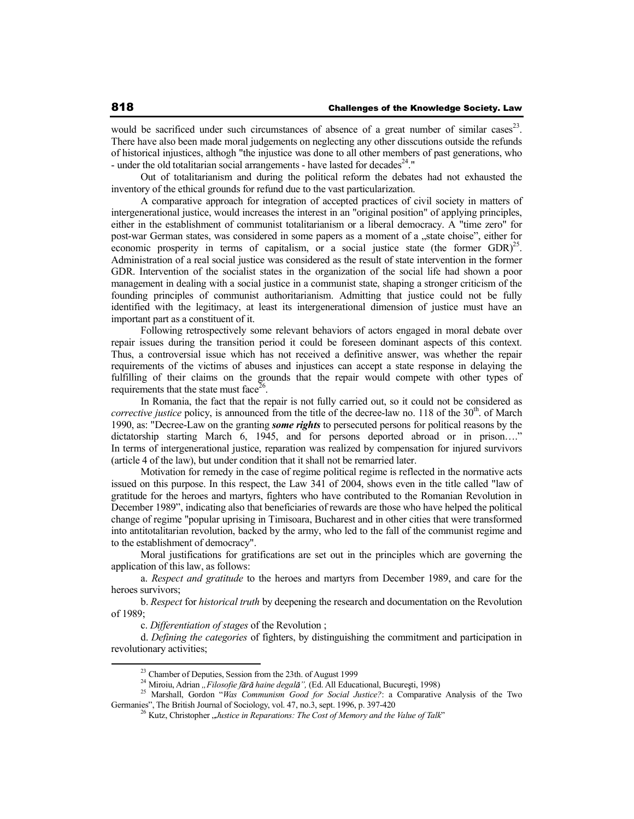would be sacrificed under such circumstances of absence of a great number of similar cases<sup>23</sup>. There have also been made moral judgements on neglecting any other disscutions outside the refunds of historical injustices, althogh "the injustice was done to all other members of past generations, who - under the old totalitarian social arrangements - have lasted for decades<sup>24</sup>."

Out of totalitarianism and during the political reform the debates had not exhausted the inventory of the ethical grounds for refund due to the vast particularization.

A comparative approach for integration of accepted practices of civil society in matters of intergenerational justice, would increases the interest in an "original position" of applying principles, either in the establishment of communist totalitarianism or a liberal democracy. A "time zero" for post-war German states, was considered in some papers as a moment of a "state choise", either for economic prosperity in terms of capitalism, or a social justice state (the former  $GDR)^{25}$ . Administration of a real social justice was considered as the result of state intervention in the former GDR. Intervention of the socialist states in the organization of the social life had shown a poor management in dealing with a social justice in a communist state, shaping a stronger criticism of the founding principles of communist authoritarianism. Admitting that justice could not be fully identified with the legitimacy, at least its intergenerational dimension of justice must have an important part as a constituent of it.

Following retrospectively some relevant behaviors of actors engaged in moral debate over repair issues during the transition period it could be foreseen dominant aspects of this context. Thus, a controversial issue which has not received a definitive answer, was whether the repair requirements of the victims of abuses and injustices can accept a state response in delaying the fulfilling of their claims on the grounds that the repair would compete with other types of requirements that the state must face $26$ .

In Romania, the fact that the repair is not fully carried out, so it could not be considered as *corrective justice* policy, is announced from the title of the decree-law no. 118 of the  $30<sup>th</sup>$ . of March 1990, as: "Decree-Law on the granting *some rights* to persecuted persons for political reasons by the dictatorship starting March 6, 1945, and for persons deported abroad or in prison…." In terms of intergenerational justice, reparation was realized by compensation for injured survivors (article 4 of the law), but under condition that it shall not be remarried later.

Motivation for remedy in the case of regime political regime is reflected in the normative acts issued on this purpose. In this respect, the Law 341 of 2004, shows even in the title called "law of gratitude for the heroes and martyrs, fighters who have contributed to the Romanian Revolution in December 1989", indicating also that beneficiaries of rewards are those who have helped the political change of regime "popular uprising in Timisoara, Bucharest and in other cities that were transformed into antitotalitarian revolution, backed by the army, who led to the fall of the communist regime and to the establishment of democracy".

Moral justifications for gratifications are set out in the principles which are governing the application of this law, as follows:

a. *Respect and gratitude* to the heroes and martyrs from December 1989, and care for the heroes survivors;

b. *Respect* for *historical truth* by deepening the research and documentation on the Revolution of 1989;

c. *Differentiation of stages* of the Revolution ;

d. *Defining the categories* of fighters, by distinguishing the commitment and participation in revolutionary activities;

<sup>&</sup>lt;sup>23</sup> Chamber of Deputies, Session from the 23th. of August 1999

<sup>&</sup>lt;sup>24</sup> Miroiu, Adrian "Filosofie fără haine degală", (Ed. All Educational, București, 1998)

<sup>&</sup>lt;sup>25</sup> Marshall, Gordon "*Was Communism Good for Social Justice?*: a Comparative Analysis of the Two Germanies", The British Journal of Sociology, vol. 47, no.3, sept. 1996, p. 397-420

<sup>&</sup>lt;sup>26</sup> Kutz, Christopher "Justice in Reparations: The Cost of Memory and the Value of Talk"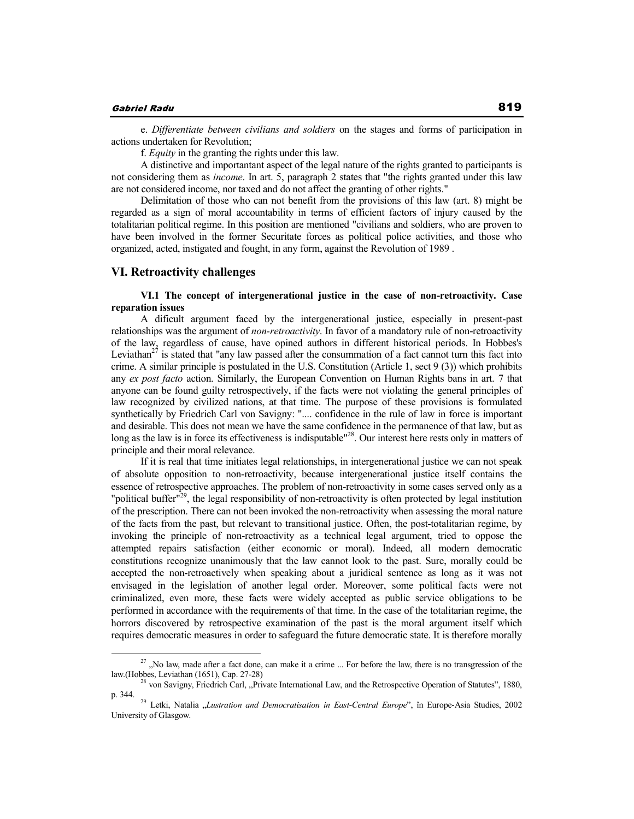e. *Differentiate between civilians and soldiers* on the stages and forms of participation in actions undertaken for Revolution;

f. *Equity* in the granting the rights under this law.

A distinctive and importantant aspect of the legal nature of the rights granted to participants is not considering them as *income*. In art. 5, paragraph 2 states that "the rights granted under this law are not considered income, nor taxed and do not affect the granting of other rights."

Delimitation of those who can not benefit from the provisions of this law (art. 8) might be regarded as a sign of moral accountability in terms of efficient factors of injury caused by the totalitarian political regime. In this position are mentioned "civilians and soldiers, who are proven to have been involved in the former Securitate forces as political police activities, and those who organized, acted, instigated and fought, in any form, against the Revolution of 1989 .

## **VI. Retroactivity challenges**

## **VI.1 The concept of intergenerational justice in the case of non-retroactivity. Case reparation issues**

A dificult argument faced by the intergenerational justice, especially in present-past relationships was the argument of *non-retroactivity*. In favor of a mandatory rule of non-retroactivity of the law, regardless of cause, have opined authors in different historical periods. In Hobbes's Leviathan<sup>27</sup> is stated that "any law passed after the consummation of a fact cannot turn this fact into crime. A similar principle is postulated in the U.S. Constitution (Article 1, sect 9 (3)) which prohibits any *ex post facto* action. Similarly, the European Convention on Human Rights bans in art. 7 that anyone can be found guilty retrospectively, if the facts were not violating the general principles of law recognized by civilized nations, at that time. The purpose of these provisions is formulated synthetically by Friedrich Carl von Savigny: ".... confidence in the rule of law in force is important and desirable. This does not mean we have the same confidence in the permanence of that law, but as long as the law is in force its effectiveness is indisputable"<sup>28</sup>. Our interest here rests only in matters of principle and their moral relevance.

If it is real that time initiates legal relationships, in intergenerational justice we can not speak of absolute opposition to non-retroactivity, because intergenerational justice itself contains the essence of retrospective approaches. The problem of non-retroactivity in some cases served only as a "political buffer"<sup>29</sup>, the legal responsibility of non-retroactivity is often protected by legal institution of the prescription. There can not been invoked the non-retroactivity when assessing the moral nature of the facts from the past, but relevant to transitional justice. Often, the post-totalitarian regime, by invoking the principle of non-retroactivity as a technical legal argument, tried to oppose the attempted repairs satisfaction (either economic or moral). Indeed, all modern democratic constitutions recognize unanimously that the law cannot look to the past. Sure, morally could be accepted the non-retroactively when speaking about a juridical sentence as long as it was not envisaged in the legislation of another legal order. Moreover, some political facts were not criminalized, even more, these facts were widely accepted as public service obligations to be performed in accordance with the requirements of that time. In the case of the totalitarian regime, the horrors discovered by retrospective examination of the past is the moral argument itself which requires democratic measures in order to safeguard the future democratic state. It is therefore morally

 $27$ , No law, made after a fact done, can make it a crime ... For before the law, there is no transgression of the law.(Hobbes, Leviathan (1651), Cap. 27-28)

<sup>&</sup>lt;sup>28</sup> von Savigny, Friedrich Carl, "Private International Law, and the Retrospective Operation of Statutes", 1880, p. 344.<br><sup>29</sup> Letki, Natalia *"Lustration and Democratisation in East-Central Europe*", în Europe-Asia Studies, 2002

University of Glasgow.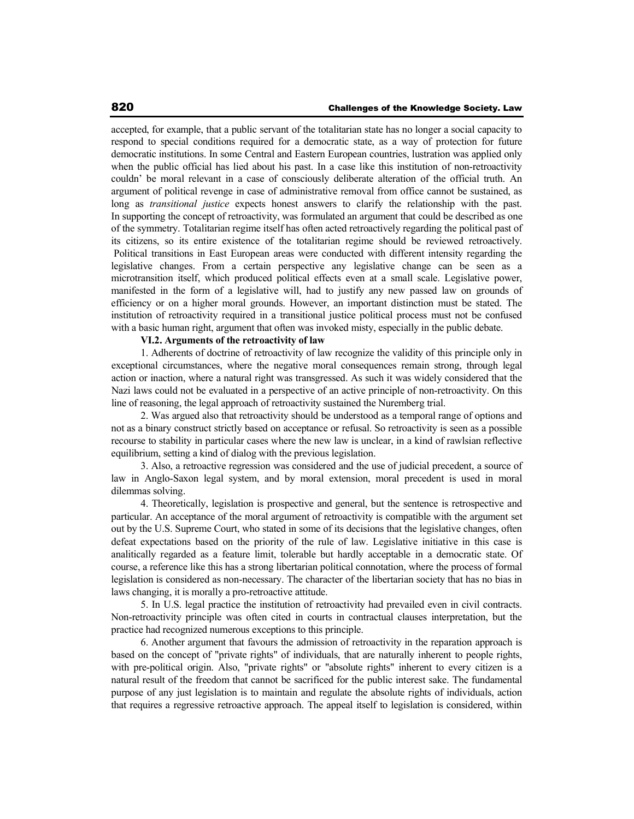accepted, for example, that a public servant of the totalitarian state has no longer a social capacity to respond to special conditions required for a democratic state, as a way of protection for future democratic institutions. In some Central and Eastern European countries, lustration was applied only when the public official has lied about his past. In a case like this institution of non-retroactivity couldn' be moral relevant in a case of consciously deliberate alteration of the official truth. An argument of political revenge in case of administrative removal from office cannot be sustained, as long as *transitional justice* expects honest answers to clarify the relationship with the past. In supporting the concept of retroactivity, was formulated an argument that could be described as one of the symmetry. Totalitarian regime itself has often acted retroactively regarding the political past of its citizens, so its entire existence of the totalitarian regime should be reviewed retroactively. Political transitions in East European areas were conducted with different intensity regarding the legislative changes. From a certain perspective any legislative change can be seen as a microtransition itself, which produced political effects even at a small scale. Legislative power, manifested in the form of a legislative will, had to justify any new passed law on grounds of efficiency or on a higher moral grounds. However, an important distinction must be stated. The institution of retroactivity required in a transitional justice political process must not be confused with a basic human right, argument that often was invoked misty, especially in the public debate.

### **VI.2. Arguments of the retroactivity of law**

1. Adherents of doctrine of retroactivity of law recognize the validity of this principle only in exceptional circumstances, where the negative moral consequences remain strong, through legal action or inaction, where a natural right was transgressed. As such it was widely considered that the Nazi laws could not be evaluated in a perspective of an active principle of non-retroactivity. On this line of reasoning, the legal approach of retroactivity sustained the Nuremberg trial.

2. Was argued also that retroactivity should be understood as a temporal range of options and not as a binary construct strictly based on acceptance or refusal. So retroactivity is seen as a possible recourse to stability in particular cases where the new law is unclear, in a kind of rawlsian reflective equilibrium, setting a kind of dialog with the previous legislation.

3. Also, a retroactive regression was considered and the use of judicial precedent, a source of law in Anglo-Saxon legal system, and by moral extension, moral precedent is used in moral dilemmas solving.

4. Theoretically, legislation is prospective and general, but the sentence is retrospective and particular. An acceptance of the moral argument of retroactivity is compatible with the argument set out by the U.S. Supreme Court, who stated in some of its decisions that the legislative changes, often defeat expectations based on the priority of the rule of law. Legislative initiative in this case is analitically regarded as a feature limit, tolerable but hardly acceptable in a democratic state. Of course, a reference like this has a strong libertarian political connotation, where the process of formal legislation is considered as non-necessary. The character of the libertarian society that has no bias in laws changing, it is morally a pro-retroactive attitude.

5. In U.S. legal practice the institution of retroactivity had prevailed even in civil contracts. Non-retroactivity principle was often cited in courts in contractual clauses interpretation, but the practice had recognized numerous exceptions to this principle.

6. Another argument that favours the admission of retroactivity in the reparation approach is based on the concept of "private rights" of individuals, that are naturally inherent to people rights, with pre-political origin. Also, "private rights" or "absolute rights" inherent to every citizen is a natural result of the freedom that cannot be sacrificed for the public interest sake. The fundamental purpose of any just legislation is to maintain and regulate the absolute rights of individuals, action that requires a regressive retroactive approach. The appeal itself to legislation is considered, within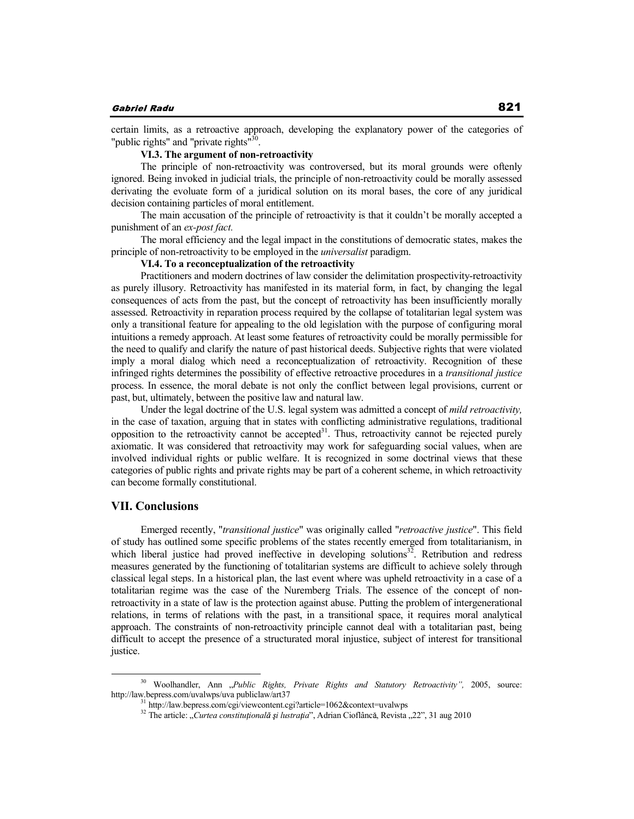certain limits, as a retroactive approach, developing the explanatory power of the categories of "public rights" and "private rights"<sup>30</sup>.

## **VI.3. The argument of non-retroactivity**

The principle of non-retroactivity was controversed, but its moral grounds were oftenly ignored. Being invoked in judicial trials, the principle of non-retroactivity could be morally assessed derivating the evoluate form of a juridical solution on its moral bases, the core of any juridical decision containing particles of moral entitlement.

The main accusation of the principle of retroactivity is that it couldn't be morally accepted a punishment of an *ex-post fact.* 

The moral efficiency and the legal impact in the constitutions of democratic states, makes the principle of non-retroactivity to be employed in the *universalist* paradigm.

#### **VI.4. To a reconceptualization of the retroactivity**

Practitioners and modern doctrines of law consider the delimitation prospectivity-retroactivity as purely illusory. Retroactivity has manifested in its material form, in fact, by changing the legal consequences of acts from the past, but the concept of retroactivity has been insufficiently morally assessed. Retroactivity in reparation process required by the collapse of totalitarian legal system was only a transitional feature for appealing to the old legislation with the purpose of configuring moral intuitions a remedy approach. At least some features of retroactivity could be morally permissible for the need to qualify and clarify the nature of past historical deeds. Subjective rights that were violated imply a moral dialog which need a reconceptualization of retroactivity. Recognition of these infringed rights determines the possibility of effective retroactive procedures in a *transitional justice* process. In essence, the moral debate is not only the conflict between legal provisions, current or past, but, ultimately, between the positive law and natural law.

Under the legal doctrine of the U.S. legal system was admitted a concept of *mild retroactivity,* in the case of taxation, arguing that in states with conflicting administrative regulations, traditional opposition to the retroactivity cannot be accepted $3<sup>1</sup>$ . Thus, retroactivity cannot be rejected purely axiomatic. It was considered that retroactivity may work for safeguarding social values, when are involved individual rights or public welfare. It is recognized in some doctrinal views that these categories of public rights and private rights may be part of a coherent scheme, in which retroactivity can become formally constitutional.

### **VII. Conclusions**

Emerged recently, "*transitional justice*" was originally called "*retroactive justice*". This field of study has outlined some specific problems of the states recently emerged from totalitarianism, in which liberal justice had proved ineffective in developing solutions<sup>32</sup>. Retribution and redress measures generated by the functioning of totalitarian systems are difficult to achieve solely through classical legal steps. In a historical plan, the last event where was upheld retroactivity in a case of a totalitarian regime was the case of the Nuremberg Trials. The essence of the concept of nonretroactivity in a state of law is the protection against abuse. Putting the problem of intergenerational relations, in terms of relations with the past, in a transitional space, it requires moral analytical approach. The constraints of non-retroactivity principle cannot deal with a totalitarian past, being difficult to accept the presence of a structurated moral injustice, subject of interest for transitional justice.

<sup>30</sup> Woolhandler, Ann "*Public Rights, Private Rights and Statutory Retroactivity",* 2005, source: http://law.bepress.com/uvalwps/uva publiclaw/art37<br><sup>31</sup> http://law.bepress.com/cgi/viewcontent.cgi?article=1062&context=uvalwps

<sup>&</sup>lt;sup>32</sup> The article: *"Curtea constituțională și lustrația*", Adrian Cioflâncă, Revista "22", 31 aug 2010